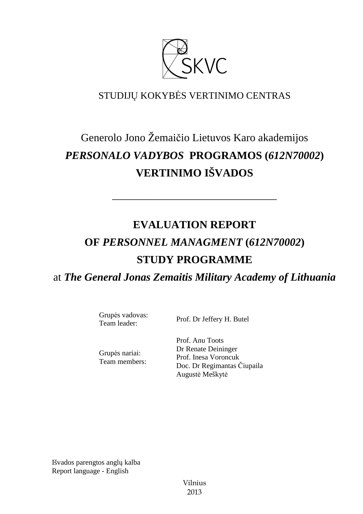

# STUDIJŲ KOKYBĖS VERTINIMO CENTRAS

# Generolo Jono Žemaičio Lietuvos Karo akademijos *PERSONALO VADYBOS* **PROGRAMOS (***612N70002***) VERTINIMO IŠVADOS**

––––––––––––––––––––––––––––––

# **EVALUATION REPORT OF** *PERSONNEL MANAGMENT* **(***612N70002***) STUDY PROGRAMME** at *The General Jonas Zemaitis Military Academy of Lithuania*

Grupės vadovas:

Grupės nariai: Team members:

Team leader: Prof. Dr Jeffery H. Butel

Prof. Anu Toots Dr Renate Deininger Prof. Inesa Voroncuk Doc. Dr Regimantas Čiupaila Augustė Meškytė

Išvados parengtos anglų kalba Report language - English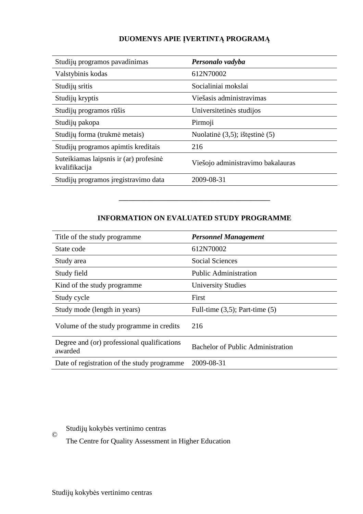# **DUOMENYS APIE ĮVERTINTĄ PROGRAMĄ**

| Studijų programos pavadinimas                           | Personalo vadyba                  |
|---------------------------------------------------------|-----------------------------------|
| Valstybinis kodas                                       | 612N70002                         |
| Studijų sritis                                          | Socialiniai mokslai               |
| Studijų kryptis                                         | Viešasis administravimas          |
| Studijų programos rūšis                                 | Universitetinės studijos          |
| Studijų pakopa                                          | Pirmoji                           |
| Studijų forma (trukmė metais)                           | Nuolatinė (3,5); ištęstinė (5)    |
| Studijų programos apimtis kreditais                     | 216                               |
| Suteikiamas laipsnis ir (ar) profesinė<br>kvalifikacija | Viešojo administravimo bakalauras |
| Studijų programos įregistravimo data                    | 2009-08-31                        |

### **INFORMATION ON EVALUATED STUDY PROGRAMME**

–––––––––––––––––––––––––––––––

| Title of the study programme                           | <b>Personnel Management</b>              |
|--------------------------------------------------------|------------------------------------------|
| State code                                             | 612N70002                                |
| Study area                                             | <b>Social Sciences</b>                   |
| Study field                                            | <b>Public Administration</b>             |
| Kind of the study programme.                           | <b>University Studies</b>                |
| Study cycle                                            | First                                    |
| Study mode (length in years)                           | Full-time $(3,5)$ ; Part-time $(5)$      |
| Volume of the study programme in credits               | 216                                      |
| Degree and (or) professional qualifications<br>awarded | <b>Bachelor of Public Administration</b> |
| Date of registration of the study programme            | 2009-08-31                               |

## Studijų kokybės vertinimo centras

The Centre for Quality Assessment in Higher Education

©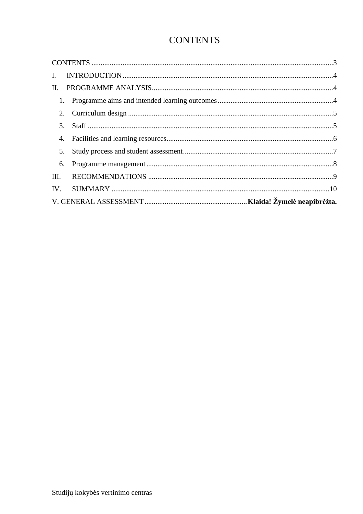# **CONTENTS**

| $\mathbf{I}$ . |  |  |  |  |
|----------------|--|--|--|--|
| $\Pi$ .        |  |  |  |  |
|                |  |  |  |  |
|                |  |  |  |  |
|                |  |  |  |  |
|                |  |  |  |  |
| 5.             |  |  |  |  |
| 6.             |  |  |  |  |
|                |  |  |  |  |
|                |  |  |  |  |
|                |  |  |  |  |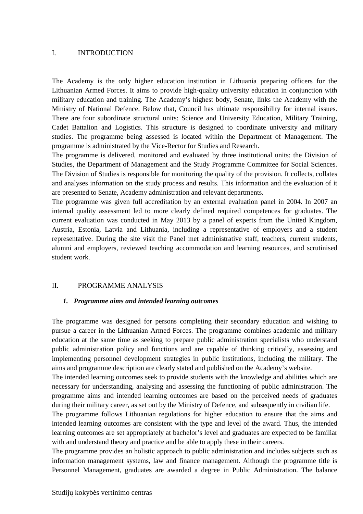#### I. INTRODUCTION

The Academy is the only higher education institution in Lithuania preparing officers for the Lithuanian Armed Forces. It aims to provide high-quality university education in conjunction with military education and training. The Academy's highest body, Senate, links the Academy with the Ministry of National Defence. Below that, Council has ultimate responsibility for internal issues. There are four subordinate structural units: Science and University Education, Military Training, Cadet Battalion and Logistics. This structure is designed to coordinate university and military studies. The programme being assessed is located within the Department of Management. The programme is administrated by the Vice-Rector for Studies and Research.

The programme is delivered, monitored and evaluated by three institutional units: the Division of Studies, the Department of Management and the Study Programme Committee for Social Sciences. The Division of Studies is responsible for monitoring the quality of the provision. It collects, collates and analyses information on the study process and results. This information and the evaluation of it are presented to Senate, Academy administration and relevant departments.

The programme was given full accreditation by an external evaluation panel in 2004. In 2007 an internal quality assessment led to more clearly defined required competences for graduates. The current evaluation was conducted in May 2013 by a panel of experts from the United Kingdom, Austria, Estonia, Latvia and Lithuania, including a representative of employers and a student representative. During the site visit the Panel met administrative staff, teachers, current students, alumni and employers, reviewed teaching accommodation and learning resources, and scrutinised student work.

#### II. PROGRAMME ANALYSIS

#### *1. Programme aims and intended learning outcomes*

The programme was designed for persons completing their secondary education and wishing to pursue a career in the Lithuanian Armed Forces. The programme combines academic and military education at the same time as seeking to prepare public administration specialists who understand public administration policy and functions and are capable of thinking critically, assessing and implementing personnel development strategies in public institutions, including the military. The aims and programme description are clearly stated and published on the Academy's website.

The intended learning outcomes seek to provide students with the knowledge and abilities which are necessary for understanding, analysing and assessing the functioning of public administration. The programme aims and intended learning outcomes are based on the perceived needs of graduates during their military career, as set out by the Ministry of Defence, and subsequently in civilian life.

The programme follows Lithuanian regulations for higher education to ensure that the aims and intended learning outcomes are consistent with the type and level of the award. Thus, the intended learning outcomes are set appropriately at bachelor's level and graduates are expected to be familiar with and understand theory and practice and be able to apply these in their careers.

The programme provides an holistic approach to public administration and includes subjects such as information management systems, law and finance management. Although the programme title is Personnel Management, graduates are awarded a degree in Public Administration. The balance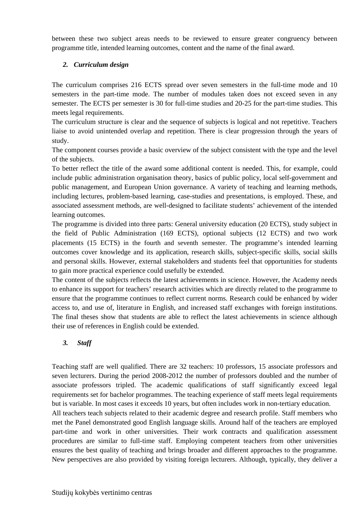between these two subject areas needs to be reviewed to ensure greater congruency between programme title, intended learning outcomes, content and the name of the final award.

### *2. Curriculum design*

The curriculum comprises 216 ECTS spread over seven semesters in the full-time mode and 10 semesters in the part-time mode. The number of modules taken does not exceed seven in any semester. The ECTS per semester is 30 for full-time studies and 20-25 for the part-time studies. This meets legal requirements.

The curriculum structure is clear and the sequence of subjects is logical and not repetitive. Teachers liaise to avoid unintended overlap and repetition. There is clear progression through the years of study.

The component courses provide a basic overview of the subject consistent with the type and the level of the subjects.

To better reflect the title of the award some additional content is needed. This, for example, could include public administration organisation theory, basics of public policy, local self-government and public management, and European Union governance. A variety of teaching and learning methods, including lectures, problem-based learning, case-studies and presentations, is employed. These, and associated assessment methods, are well-designed to facilitate students' achievement of the intended learning outcomes.

The programme is divided into three parts: General university education (20 ECTS), study subject in the field of Public Administration (169 ECTS), optional subjects (12 ECTS) and two work placements (15 ECTS) in the fourth and seventh semester. The programme's intended learning outcomes cover knowledge and its application, research skills, subject-specific skills, social skills and personal skills. However, external stakeholders and students feel that opportunities for students to gain more practical experience could usefully be extended.

The content of the subjects reflects the latest achievements in science. However, the Academy needs to enhance its support for teachers' research activities which are directly related to the programme to ensure that the programme continues to reflect current norms. Research could be enhanced by wider access to, and use of, literature in English, and increased staff exchanges with foreign institutions. The final theses show that students are able to reflect the latest achievements in science although their use of references in English could be extended.

## *3. Staff*

Teaching staff are well qualified. There are 32 teachers: 10 professors, 15 associate professors and seven lecturers. During the period 2008-2012 the number of professors doubled and the number of associate professors tripled. The academic qualifications of staff significantly exceed legal requirements set for bachelor programmes. The teaching experience of staff meets legal requirements but is variable. In most cases it exceeds 10 years, but often includes work in non-tertiary education.

All teachers teach subjects related to their academic degree and research profile. Staff members who met the Panel demonstrated good English language skills. Around half of the teachers are employed part-time and work in other universities. Their work contracts and qualification assessment procedures are similar to full-time staff. Employing competent teachers from other universities ensures the best quality of teaching and brings broader and different approaches to the programme. New perspectives are also provided by visiting foreign lecturers. Although, typically, they deliver a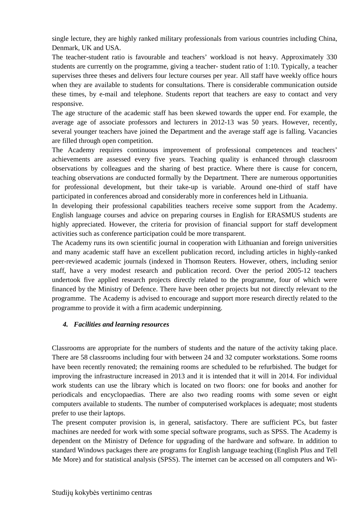single lecture, they are highly ranked military professionals from various countries including China, Denmark, UK and USA.

The teacher-student ratio is favourable and teachers' workload is not heavy. Approximately 330 students are currently on the programme, giving a teacher- student ratio of 1:10. Typically, a teacher supervises three theses and delivers four lecture courses per year. All staff have weekly office hours when they are available to students for consultations. There is considerable communication outside these times, by e-mail and telephone. Students report that teachers are easy to contact and very responsive.

The age structure of the academic staff has been skewed towards the upper end. For example, the average age of associate professors and lecturers in 2012-13 was 50 years. However, recently, several younger teachers have joined the Department and the average staff age is falling. Vacancies are filled through open competition.

The Academy requires continuous improvement of professional competences and teachers' achievements are assessed every five years. Teaching quality is enhanced through classroom observations by colleagues and the sharing of best practice. Where there is cause for concern, teaching observations are conducted formally by the Department. There are numerous opportunities for professional development, but their take-up is variable. Around one-third of staff have participated in conferences abroad and considerably more in conferences held in Lithuania.

In developing their professional capabilities teachers receive some support from the Academy. English language courses and advice on preparing courses in English for ERASMUS students are highly appreciated. However, the criteria for provision of financial support for staff development activities such as conference participation could be more transparent.

The Academy runs its own scientific journal in cooperation with Lithuanian and foreign universities and many academic staff have an excellent publication record, including articles in highly-ranked peer-reviewed academic journals (indexed in Thomson Reuters. However, others, including senior staff, have a very modest research and publication record. Over the period 2005-12 teachers undertook five applied research projects directly related to the programme, four of which were financed by the Ministry of Defence. There have been other projects but not directly relevant to the programme. The Academy is advised to encourage and support more research directly related to the programme to provide it with a firm academic underpinning.

#### *4. Facilities and learning resources*

Classrooms are appropriate for the numbers of students and the nature of the activity taking place. There are 58 classrooms including four with between 24 and 32 computer workstations. Some rooms have been recently renovated; the remaining rooms are scheduled to be refurbished. The budget for improving the infrastructure increased in 2013 and it is intended that it will in 2014. For individual work students can use the library which is located on two floors: one for books and another for periodicals and encyclopaedias. There are also two reading rooms with some seven or eight computers available to students. The number of computerised workplaces is adequate; most students prefer to use their laptops.

The present computer provision is, in general, satisfactory. There are sufficient PCs, but faster machines are needed for work with some special software programs, such as SPSS. The Academy is dependent on the Ministry of Defence for upgrading of the hardware and software. In addition to standard Windows packages there are programs for English language teaching (English Plus and Tell Me More) and for statistical analysis (SPSS). The internet can be accessed on all computers and Wi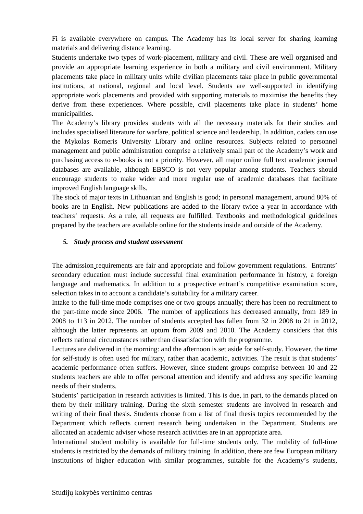Fi is available everywhere on campus. The Academy has its local server for sharing learning materials and delivering distance learning.

Students undertake two types of work-placement, military and civil. These are well organised and provide an appropriate learning experience in both a military and civil environment. Military placements take place in military units while civilian placements take place in public governmental institutions, at national, regional and local level. Students are well-supported in identifying appropriate work placements and provided with supporting materials to maximise the benefits they derive from these experiences. Where possible, civil placements take place in students' home municipalities.

The Academy's library provides students with all the necessary materials for their studies and includes specialised literature for warfare, political science and leadership. In addition, cadets can use the Mykolas Romeris University Library and online resources. Subjects related to personnel management and public administration comprise a relatively small part of the Academy's work and purchasing access to e-books is not a priority. However, all major online full text academic journal databases are available, although EBSCO is not very popular among students. Teachers should encourage students to make wider and more regular use of academic databases that facilitate improved English language skills.

The stock of major texts in Lithuanian and English is good; in personal management, around 80% of books are in English. New publications are added to the library twice a year in accordance with teachers' requests. As a rule, all requests are fulfilled. Textbooks and methodological guidelines prepared by the teachers are available online for the students inside and outside of the Academy.

#### *5. Study process and student assessment*

The admission requirements are fair and appropriate and follow government regulations. Entrants' secondary education must include successful final examination performance in history, a foreign language and mathematics. In addition to a prospective entrant's competitive examination score, selection takes in to account a candidate's suitability for a military career.

Intake to the full-time mode comprises one or two groups annually; there has been no recruitment to the part-time mode since 2006. The number of applications has decreased annually, from 189 in 2008 to 113 in 2012. The number of students accepted has fallen from 32 in 2008 to 21 in 2012, although the latter represents an upturn from 2009 and 2010. The Academy considers that this reflects national circumstances rather than dissatisfaction with the programme.

Lectures are delivered in the morning: and the afternoon is set aside for self-study. However, the time for self-study is often used for military, rather than academic, activities. The result is that students' academic performance often suffers. However, since student groups comprise between 10 and 22 students teachers are able to offer personal attention and identify and address any specific learning needs of their students.

Students' participation in research activities is limited. This is due, in part, to the demands placed on them by their military training. During the sixth semester students are involved in research and writing of their final thesis. Students choose from a list of final thesis topics recommended by the Department which reflects current research being undertaken in the Department. Students are allocated an academic adviser whose research activities are in an appropriate area.

International student mobility is available for full-time students only. The mobility of full-time students is restricted by the demands of military training. In addition, there are few European military institutions of higher education with similar programmes, suitable for the Academy's students,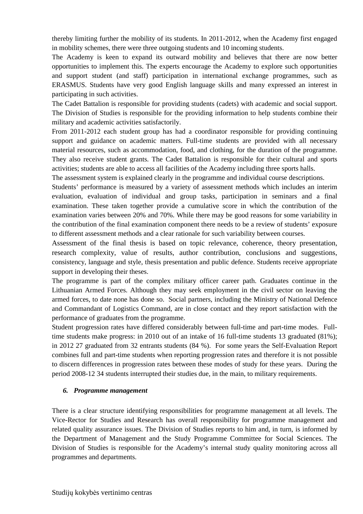thereby limiting further the mobility of its students. In 2011-2012, when the Academy first engaged in mobility schemes, there were three outgoing students and 10 incoming students.

The Academy is keen to expand its outward mobility and believes that there are now better opportunities to implement this. The experts encourage the Academy to explore such opportunities and support student (and staff) participation in international exchange programmes, such as ERASMUS. Students have very good English language skills and many expressed an interest in participating in such activities.

The Cadet Battalion is responsible for providing students (cadets) with academic and social support. The Division of Studies is responsible for the providing information to help students combine their military and academic activities satisfactorily.

From 2011-2012 each student group has had a coordinator responsible for providing continuing support and guidance on academic matters. Full-time students are provided with all necessary material resources, such as accommodation, food, and clothing, for the duration of the programme. They also receive student grants. The Cadet Battalion is responsible for their cultural and sports activities; students are able to access all facilities of the Academy including three sports halls.

The assessment system is explained clearly in the programme and individual course descriptions.

Students' performance is measured by a variety of assessment methods which includes an interim evaluation, evaluation of individual and group tasks, participation in seminars and a final examination. These taken together provide a cumulative score in which the contribution of the examination varies between 20% and 70%. While there may be good reasons for some variability in the contribution of the final examination component there needs to be a review of students' exposure to different assessment methods and a clear rationale for such variability between courses.

Assessment of the final thesis is based on topic relevance, coherence, theory presentation, research complexity, value of results, author contribution, conclusions and suggestions, consistency, language and style, thesis presentation and public defence. Students receive appropriate support in developing their theses.

The programme is part of the complex military officer career path. Graduates continue in the Lithuanian Armed Forces. Although they may seek employment in the civil sector on leaving the armed forces, to date none has done so. Social partners, including the Ministry of National Defence and Commandant of Logistics Command, are in close contact and they report satisfaction with the performance of graduates from the programme.

Student progression rates have differed considerably between full-time and part-time modes. Fulltime students make progress: in 2010 out of an intake of 16 full-time students 13 graduated (81%); in 2012 27 graduated from 32 entrants students (84 %). For some years the Self-Evaluation Report combines full and part-time students when reporting progression rates and therefore it is not possible to discern differences in progression rates between these modes of study for these years. During the period 2008-12 34 students interrupted their studies due, in the main, to military requirements.

#### *6. Programme management*

There is a clear structure identifying responsibilities for programme management at all levels. The Vice-Rector for Studies and Research has overall responsibility for programme management and related quality assurance issues. The Division of Studies reports to him and, in turn, is informed by the Department of Management and the Study Programme Committee for Social Sciences. The Division of Studies is responsible for the Academy's internal study quality monitoring across all programmes and departments.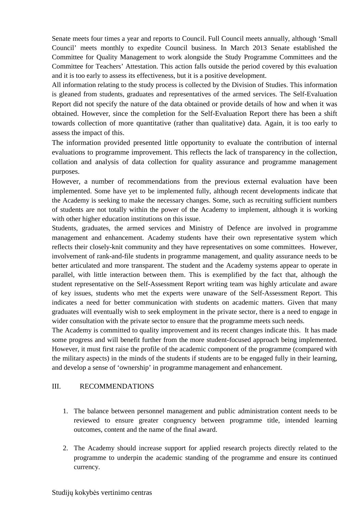Senate meets four times a year and reports to Council. Full Council meets annually, although 'Small Council' meets monthly to expedite Council business. In March 2013 Senate established the Committee for Quality Management to work alongside the Study Programme Committees and the Committee for Teachers' Attestation. This action falls outside the period covered by this evaluation and it is too early to assess its effectiveness, but it is a positive development.

All information relating to the study process is collected by the Division of Studies. This information is gleaned from students, graduates and representatives of the armed services. The Self-Evaluation Report did not specify the nature of the data obtained or provide details of how and when it was obtained. However, since the completion for the Self-Evaluation Report there has been a shift towards collection of more quantitative (rather than qualitative) data. Again, it is too early to assess the impact of this.

The information provided presented little opportunity to evaluate the contribution of internal evaluations to programme improvement. This reflects the lack of transparency in the collection, collation and analysis of data collection for quality assurance and programme management purposes.

However, a number of recommendations from the previous external evaluation have been implemented. Some have yet to be implemented fully, although recent developments indicate that the Academy is seeking to make the necessary changes. Some, such as recruiting sufficient numbers of students are not totally within the power of the Academy to implement, although it is working with other higher education institutions on this issue.

Students, graduates, the armed services and Ministry of Defence are involved in programme management and enhancement. Academy students have their own representative system which reflects their closely-knit community and they have representatives on some committees. However, involvement of rank-and-file students in programme management, and quality assurance needs to be better articulated and more transparent. The student and the Academy systems appear to operate in parallel, with little interaction between them. This is exemplified by the fact that, although the student representative on the Self-Assessment Report writing team was highly articulate and aware of key issues, students who met the experts were unaware of the Self-Assessment Report. This indicates a need for better communication with students on academic matters. Given that many graduates will eventually wish to seek employment in the private sector, there is a need to engage in wider consultation with the private sector to ensure that the programme meets such needs.

The Academy is committed to quality improvement and its recent changes indicate this. It has made some progress and will benefit further from the more student-focused approach being implemented. However, it must first raise the profile of the academic component of the programme (compared with the military aspects) in the minds of the students if students are to be engaged fully in their learning, and develop a sense of 'ownership' in programme management and enhancement.

#### III. RECOMMENDATIONS

- 1. The balance between personnel management and public administration content needs to be reviewed to ensure greater congruency between programme title, intended learning outcomes, content and the name of the final award.
- 2. The Academy should increase support for applied research projects directly related to the programme to underpin the academic standing of the programme and ensure its continued currency.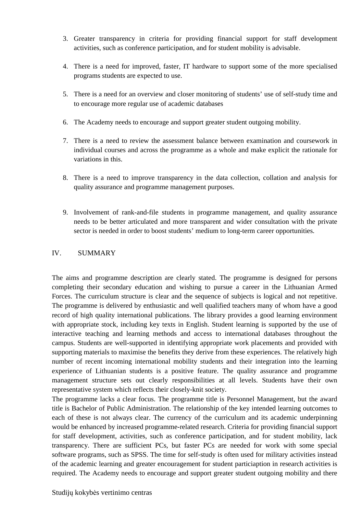- 3. Greater transparency in criteria for providing financial support for staff development activities, such as conference participation, and for student mobility is advisable.
- 4. There is a need for improved, faster, IT hardware to support some of the more specialised programs students are expected to use.
- 5. There is a need for an overview and closer monitoring of students' use of self-study time and to encourage more regular use of academic databases
- 6. The Academy needs to encourage and support greater student outgoing mobility.
- 7. There is a need to review the assessment balance between examination and coursework in individual courses and across the programme as a whole and make explicit the rationale for variations in this.
- 8. There is a need to improve transparency in the data collection, collation and analysis for quality assurance and programme management purposes.
- 9. Involvement of rank-and-file students in programme management, and quality assurance needs to be better articulated and more transparent and wider consultation with the private sector is needed in order to boost students' medium to long-term career opportunities.

#### IV. SUMMARY

The aims and programme description are clearly stated. The programme is designed for persons completing their secondary education and wishing to pursue a career in the Lithuanian Armed Forces. The curriculum structure is clear and the sequence of subjects is logical and not repetitive. The programme is delivered by enthusiastic and well qualified teachers many of whom have a good record of high quality international publications. The library provides a good learning environment with appropriate stock, including key texts in English. Student learning is supported by the use of interactive teaching and learning methods and access to international databases throughout the campus. Students are well-supported in identifying appropriate work placements and provided with supporting materials to maximise the benefits they derive from these experiences. The relatively high number of recent incoming international mobility students and their integration into the learning experience of Lithuanian students is a positive feature. The quality assurance and programme management structure sets out clearly responsibilities at all levels. Students have their own representative system which reflects their closely-knit society.

The programme lacks a clear focus. The programme title is Personnel Management, but the award title is Bachelor of Public Administration. The relationship of the key intended learning outcomes to each of these is not always clear. The currency of the curriculum and its academic underpinning would be enhanced by increased programme-related research. Criteria for providing financial support for staff development, activities, such as conference participation, and for student mobility, lack transparency. There are sufficient PCs, but faster PCs are needed for work with some special software programs, such as SPSS. The time for self-study is often used for military activities instead of the academic learning and greater encouragement for student particiaption in research activities is required. The Academy needs to encourage and support greater student outgoing mobility and there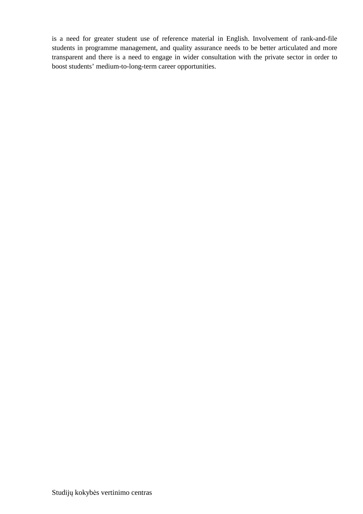is a need for greater student use of reference material in English. Involvement of rank-and-file students in programme management, and quality assurance needs to be better articulated and more transparent and there is a need to engage in wider consultation with the private sector in order to boost students' medium-to-long-term career opportunities.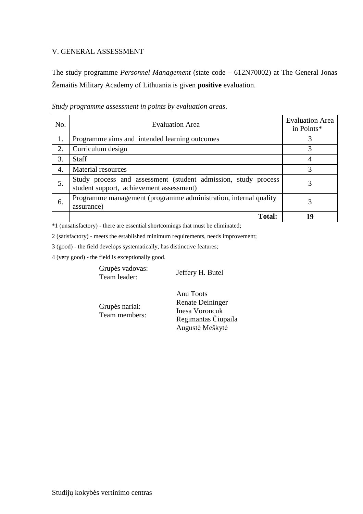#### V. GENERAL ASSESSMENT

The study programme *Personnel Management* (state code – 612N70002) at The General Jonas Žemaitis Military Academy of Lithuania is given **positive** evaluation.

| No.            | <b>Evaluation Area</b>                                                                                     | <b>Evaluation Area</b><br>in Points* |
|----------------|------------------------------------------------------------------------------------------------------------|--------------------------------------|
| 1.             | Programme aims and intended learning outcomes                                                              | 3                                    |
| 2.             | Curriculum design                                                                                          | 3                                    |
| 3.             | <b>Staff</b>                                                                                               |                                      |
| $\overline{4}$ | <b>Material resources</b>                                                                                  | 3                                    |
| 5.             | Study process and assessment (student admission, study process<br>student support, achievement assessment) | 3                                    |
| 6.             | Programme management (programme administration, internal quality<br>assurance)                             | 3                                    |
|                | <b>Total:</b>                                                                                              | 10                                   |

*Study programme assessment in points by evaluation areas*.

\*1 (unsatisfactory) - there are essential shortcomings that must be eliminated;

2 (satisfactory) - meets the established minimum requirements, needs improvement;

3 (good) - the field develops systematically, has distinctive features;

4 (very good) - the field is exceptionally good.

Grupės vadovas: Supervisory of the Supervisor Section 1. Butel<br>Team leader:

Grupės nariai: Team members: Anu Toots Renate Deininger Inesa Voroncuk Regimantas Čiupaila Augustė Meškytė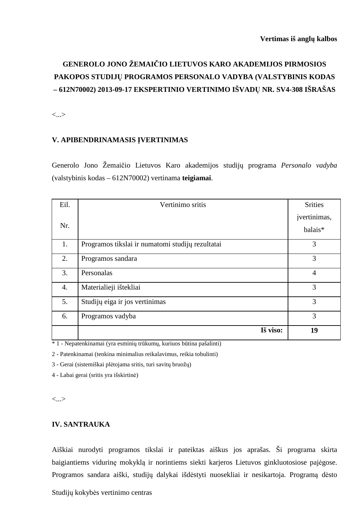# **GENEROLO JONO ŽEMAIČIO LIETUVOS KARO AKADEMIJOS PIRMOSIOS PAKOPOS STUDIJŲ PROGRAMOS PERSONALO VADYBA (VALSTYBINIS KODAS – 612N70002) 2013-09-17 EKSPERTINIO VERTINIMO IŠVADŲ NR. SV4-308 IŠRAŠAS**

<...>

### **V. APIBENDRINAMASIS ĮVERTINIMAS**

Generolo Jono Žemaičio Lietuvos Karo akademijos studijų programa *Personalo vadyba*  (valstybinis kodas – 612N70002) vertinama **teigiamai**.

| Eil.             | Vertinimo sritis                                 | <b>Srities</b>          |
|------------------|--------------------------------------------------|-------------------------|
| Nr.              |                                                  | įvertinimas,<br>balais* |
|                  |                                                  |                         |
| 1.               | Programos tikslai ir numatomi studijų rezultatai | 3                       |
| 2.               | Programos sandara                                | 3                       |
| 3.               | Personalas                                       | $\overline{4}$          |
| $\overline{4}$ . | Materialieji ištekliai                           | 3                       |
| 5.               | Studijų eiga ir jos vertinimas                   | 3                       |
| 6.               | Programos vadyba                                 | 3                       |
|                  | Iš viso:                                         | 19                      |

\* 1 - Nepatenkinamai (yra esminių trūkumų, kuriuos būtina pašalinti)

2 - Patenkinamai (tenkina minimalius reikalavimus, reikia tobulinti)

3 - Gerai (sistemiškai plėtojama sritis, turi savitų bruožų)

4 - Labai gerai (sritis yra išskirtinė)

<...>

## **IV. SANTRAUKA**

Aiškiai nurodyti programos tikslai ir pateiktas aiškus jos aprašas. Ši programa skirta baigiantiems vidurinę mokyklą ir norintiems siekti karjeros Lietuvos ginkluotosiose pajėgose. Programos sandara aiški, studijų dalykai išdėstyti nuosekliai ir nesikartoja. Programą dėsto

Studijų kokybės vertinimo centras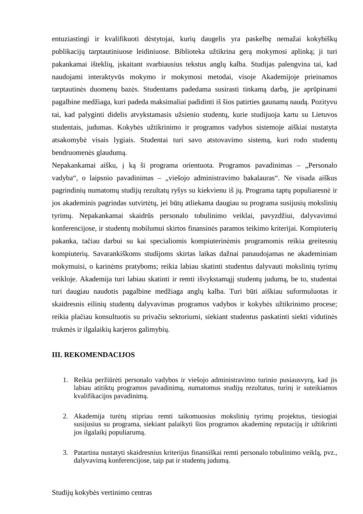entuziastingi ir kvalifikuoti dėstytojai, kurių daugelis yra paskelbę nemažai kokybiškų publikacijų tarptautiniuose leidiniuose. Biblioteka užtikrina gerą mokymosi aplinką; ji turi pakankamai išteklių, įskaitant svarbiausius tekstus anglų kalba. Studijas palengvina tai, kad naudojami interaktyvūs mokymo ir mokymosi metodai, visoje Akademijoje prieinamos tarptautinės duomenų bazės. Studentams padedama susirasti tinkamą darbą, jie aprūpinami pagalbine medžiaga, kuri padeda maksimaliai padidinti iš šios patirties gaunamą naudą. Pozityvu tai, kad palyginti didelis atvykstamasis užsienio studentų, kurie studijuoja kartu su Lietuvos studentais, judumas. Kokybės užtikrinimo ir programos vadybos sistemoje aiškiai nustatyta atsakomybė visais lygiais. Studentai turi savo atstovavimo sistemą, kuri rodo studentų bendruomenės glaudumą.

Nepakankamai aišku, į ką ši programa orientuota. Programos pavadinimas - "Personalo vadyba", o laipsnio pavadinimas – "viešojo administravimo bakalauras". Ne visada aiškus pagrindinių numatomų studijų rezultatų ryšys su kiekvienu iš jų. Programa taptų populiaresnė ir jos akademinis pagrindas sutvirtėtų, jei būtų atliekama daugiau su programa susijusių mokslinių tyrimų. Nepakankamai skaidrūs personalo tobulinimo veiklai, pavyzdžiui, dalyvavimui konferencijose, ir studentų mobilumui skirtos finansinės paramos teikimo kriterijai. Kompiuterių pakanka, tačiau darbui su kai specialiomis kompiuterinėmis programomis reikia greitesnių kompiuterių. Savarankiškoms studijoms skirtas laikas dažnai panaudojamas ne akademiniam mokymuisi, o karinėms pratyboms; reikia labiau skatinti studentus dalyvauti mokslinių tyrimų veikloje. Akademija turi labiau skatinti ir remti išvykstamąjį studentų judumą, be to, studentai turi daugiau naudotis pagalbine medžiaga anglų kalba. Turi būti aiškiau suformuluotas ir skaidresnis eilinių studentų dalyvavimas programos vadybos ir kokybės užtikrinimo procese; reikia plačiau konsultuotis su privačiu sektoriumi, siekiant studentus paskatinti siekti vidutinės trukmės ir ilgalaikių karjeros galimybių.

#### **III. REKOMENDACIJOS**

- 1. Reikia peržiūrėti personalo vadybos ir viešojo administravimo turinio pusiausvyrą, kad jis labiau atitiktų programos pavadinimą, numatomus studijų rezultatus, turinį ir suteikiamos kvalifikacijos pavadinimą.
- 2. Akademija turėtų stipriau remti taikomuosius mokslinių tyrimų projektus, tiesiogiai susijusius su programa, siekiant palaikyti šios programos akademinę reputaciją ir užtikrinti jos ilgalaikį populiarumą.
- 3. Patartina nustatyti skaidresnius kriterijus finansiškai remti personalo tobulinimo veiklą, pvz., dalyvavimą konferencijose, taip pat ir studentų judumą.